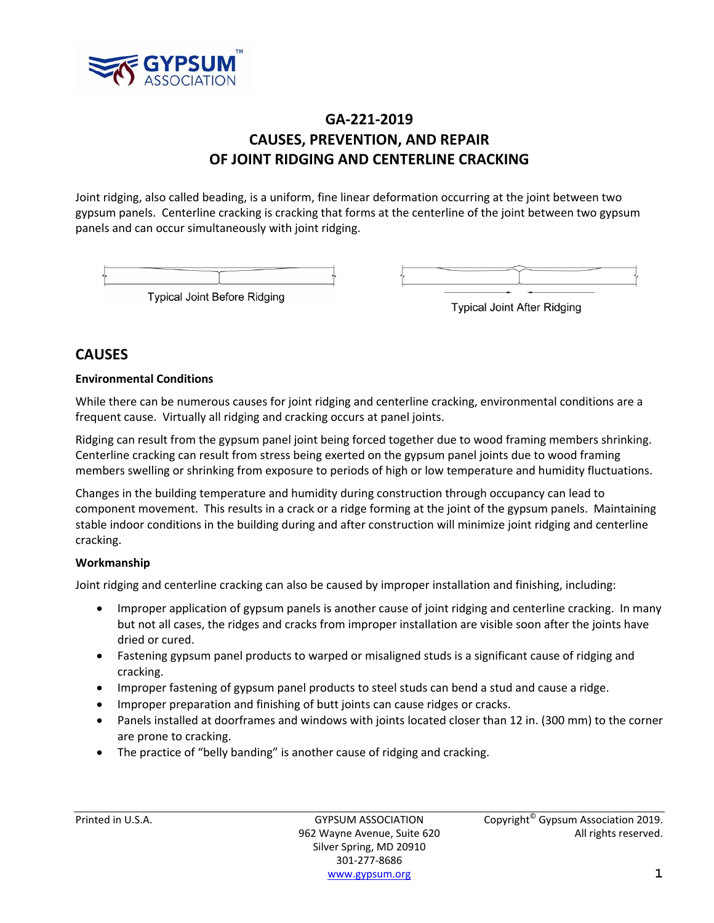

## **GA‐221‐2019 CAUSES, PREVENTION, AND REPAIR OF JOINT RIDGING AND CENTERLINE CRACKING**

Joint ridging, also called beading, is a uniform, fine linear deformation occurring at the joint between two gypsum panels. Centerline cracking is cracking that forms at the centerline of the joint between two gypsum panels and can occur simultaneously with joint ridging.

| <b>Typical Joint Before Ridging</b> |  |
|-------------------------------------|--|

**Typical Joint After Ridging** 

### **CAUSES**

### **Environmental Conditions**

While there can be numerous causes for joint ridging and centerline cracking, environmental conditions are a frequent cause. Virtually all ridging and cracking occurs at panel joints.

Ridging can result from the gypsum panel joint being forced together due to wood framing members shrinking. Centerline cracking can result from stress being exerted on the gypsum panel joints due to wood framing members swelling or shrinking from exposure to periods of high or low temperature and humidity fluctuations.

Changes in the building temperature and humidity during construction through occupancy can lead to component movement. This results in a crack or a ridge forming at the joint of the gypsum panels. Maintaining stable indoor conditions in the building during and after construction will minimize joint ridging and centerline cracking.

### **Workmanship**

Joint ridging and centerline cracking can also be caused by improper installation and finishing, including:

- Improper application of gypsum panels is another cause of joint ridging and centerline cracking. In many but not all cases, the ridges and cracks from improper installation are visible soon after the joints have dried or cured.
- Fastening gypsum panel products to warped or misaligned studs is a significant cause of ridging and cracking.
- Improper fastening of gypsum panel products to steel studs can bend a stud and cause a ridge.
- Improper preparation and finishing of butt joints can cause ridges or cracks.
- Panels installed at doorframes and windows with joints located closer than 12 in. (300 mm) to the corner are prone to cracking.
- The practice of "belly banding" is another cause of ridging and cracking.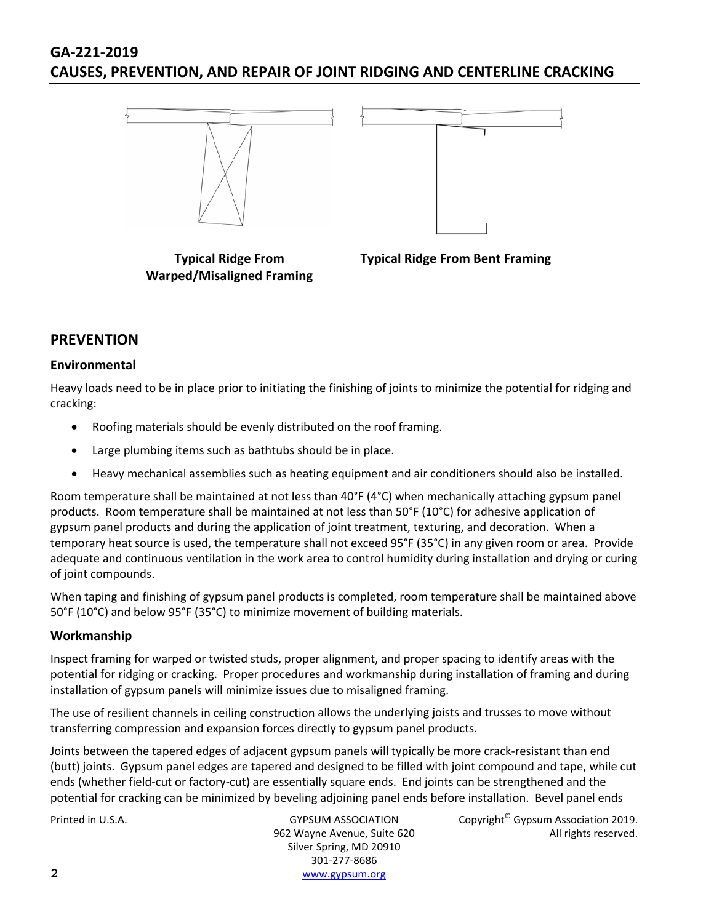# **GA‐221‐2019 CAUSES, PREVENTION, AND REPAIR OF JOINT RIDGING AND CENTERLINE CRACKING**



**Typical Ridge From Warped/Misaligned Framing** **Typical Ridge From Bent Framing**

### **PREVENTION**

### **Environmental**

Heavy loads need to be in place prior to initiating the finishing of joints to minimize the potential for ridging and cracking:

- Roofing materials should be evenly distributed on the roof framing.
- Large plumbing items such as bathtubs should be in place.
- Heavy mechanical assemblies such as heating equipment and air conditioners should also be installed.

Room temperature shall be maintained at not less than 40°F (4°C) when mechanically attaching gypsum panel products. Room temperature shall be maintained at not less than 50°F (10°C) for adhesive application of gypsum panel products and during the application of joint treatment, texturing, and decoration. When a temporary heat source is used, the temperature shall not exceed 95°F (35°C) in any given room or area. Provide adequate and continuous ventilation in the work area to control humidity during installation and drying or curing of joint compounds.

When taping and finishing of gypsum panel products is completed, room temperature shall be maintained above 50°F (10°C) and below 95°F (35°C) to minimize movement of building materials.

### **Workmanship**

Inspect framing for warped or twisted studs, proper alignment, and proper spacing to identify areas with the potential for ridging or cracking. Proper procedures and workmanship during installation of framing and during installation of gypsum panels will minimize issues due to misaligned framing.

The use of resilient channels in ceiling construction allows the underlying joists and trusses to move without transferring compression and expansion forces directly to gypsum panel products.

Joints between the tapered edges of adjacent gypsum panels will typically be more crack‐resistant than end (butt) joints. Gypsum panel edges are tapered and designed to be filled with joint compound and tape, while cut ends (whether field‐cut or factory‐cut) are essentially square ends. End joints can be strengthened and the potential for cracking can be minimized by beveling adjoining panel ends before installation. Bevel panel ends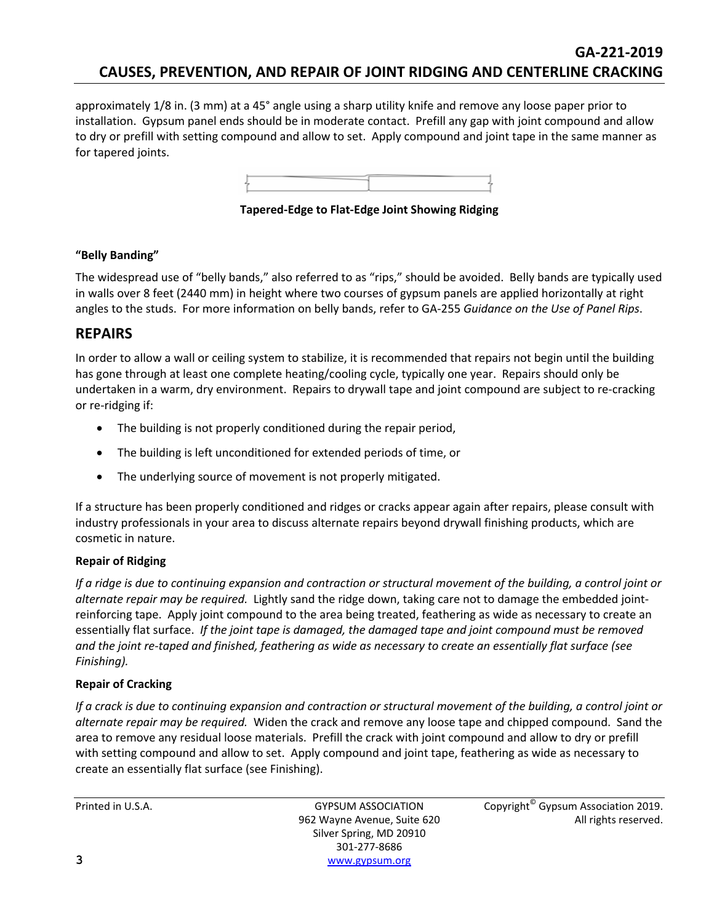## **GA‐221‐2019 CAUSES, PREVENTION, AND REPAIR OF JOINT RIDGING AND CENTERLINE CRACKING**

approximately 1/8 in. (3 mm) at a 45° angle using a sharp utility knife and remove any loose paper prior to installation. Gypsum panel ends should be in moderate contact. Prefill any gap with joint compound and allow to dry or prefill with setting compound and allow to set. Apply compound and joint tape in the same manner as for tapered joints.



**Tapered‐Edge to Flat‐Edge Joint Showing Ridging**

### **"Belly Banding"**

The widespread use of "belly bands," also referred to as "rips," should be avoided. Belly bands are typically used in walls over 8 feet (2440 mm) in height where two courses of gypsum panels are applied horizontally at right angles to the studs. For more information on belly bands, refer to GA‐255 *Guidance on the Use of Panel Rips*.

### **REPAIRS**

In order to allow a wall or ceiling system to stabilize, it is recommended that repairs not begin until the building has gone through at least one complete heating/cooling cycle, typically one year. Repairs should only be undertaken in a warm, dry environment. Repairs to drywall tape and joint compound are subject to re‐cracking or re‐ridging if:

- The building is not properly conditioned during the repair period,
- The building is left unconditioned for extended periods of time, or
- The underlying source of movement is not properly mitigated.

If a structure has been properly conditioned and ridges or cracks appear again after repairs, please consult with industry professionals in your area to discuss alternate repairs beyond drywall finishing products, which are cosmetic in nature.

### **Repair of Ridging**

If a ridge is due to continuing expansion and contraction or structural movement of the building, a control joint or *alternate repair may be required.* Lightly sand the ridge down, taking care not to damage the embedded joint‐ reinforcing tape. Apply joint compound to the area being treated, feathering as wide as necessary to create an essentially flat surface. *If the joint tape is damaged, the damaged tape and joint compound must be removed* and the joint re-taped and finished, feathering as wide as necessary to create an essentially flat surface (see *Finishing).*

### **Repair of Cracking**

If a crack is due to continuing expansion and contraction or structural movement of the building, a control joint or *alternate repair may be required.* Widen the crack and remove any loose tape and chipped compound. Sand the area to remove any residual loose materials. Prefill the crack with joint compound and allow to dry or prefill with setting compound and allow to set. Apply compound and joint tape, feathering as wide as necessary to create an essentially flat surface (see Finishing).

Silver Spring, MD 20910 301‐277‐8686 **3** www.gypsum.org

Printed in U.S.A. **GYPSUM ASSOCIATION** Copyright<sup>©</sup> Gypsum Association 2019. 962 Wayne Avenue, Suite 620 All rights reserved.